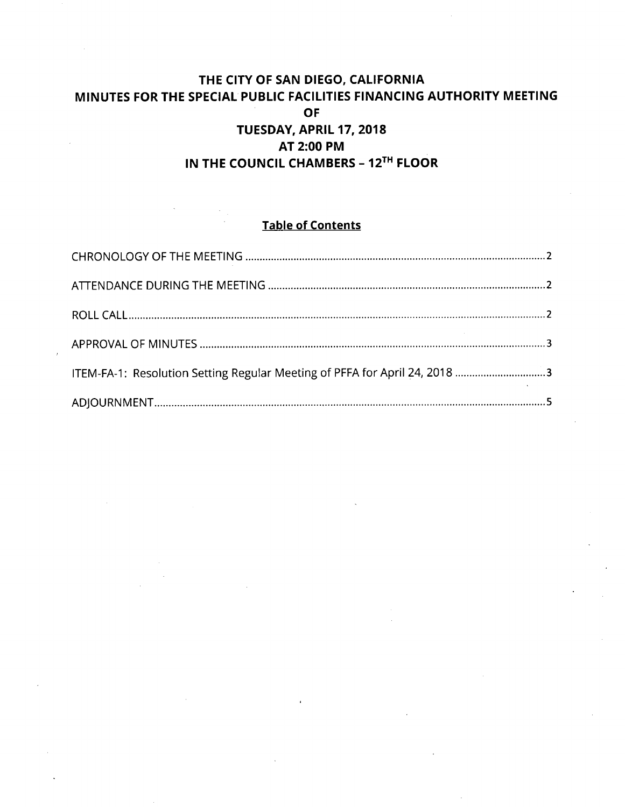# **THE CITY OF SAN DIEGO, CALIFORNIA MINUTES FOR THE SPECIAL PUBLIC FACILITIES FINANCING AUTHORITY MEETING OF TUESDAY, APRIL 17, 2018 AT 2:00 PM IN THE COUNCIL CHAMBERS - 12^^^ FLOOR**

## **Table of Contents**

| ITEM-FA-1: Resolution Setting Regular Meeting of PFFA for April 24, 2018 3 |  |
|----------------------------------------------------------------------------|--|
|                                                                            |  |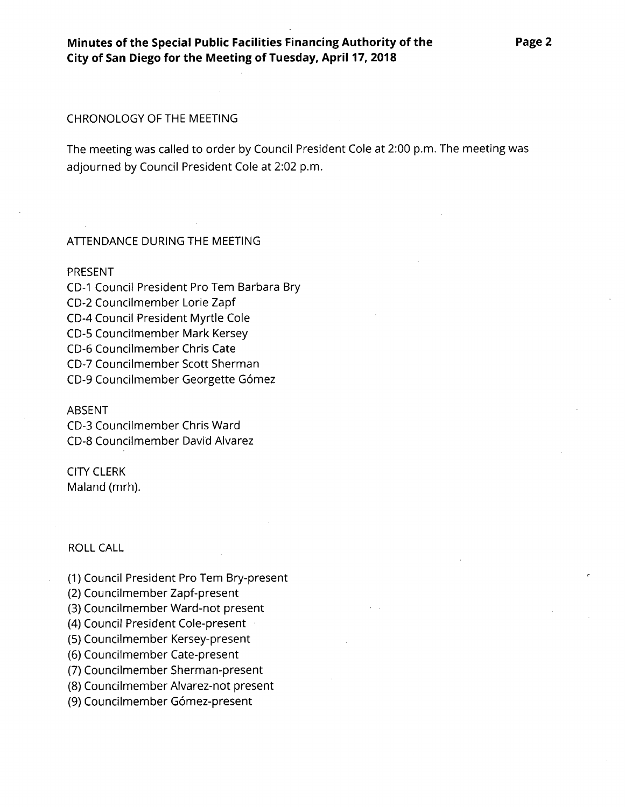**Minutes of the Special Public Facilities Financing Authority of the City of San Diego for the Meeting of Tuesday, April 17, 2018**

### CHRONOLOGY OF THE MEETING

The meeting was called to order by Council President Cole at 2:00 p.m. The meeting was adjourned by Council President Cole at 2:02 p.m.

### ATTENDANCE DURING THE MEETING

#### PRESENT

CD-I Council President Pro Tern Barbara Bry CD-2 Councilmember Lorie Zapf CD-4 Council President Myrtle Cole CD-5 Councilmember Mark Kersey CD-6 Councilmember Chris Cate CD-7 Councilmember Scott Sherman CD-9 Councilmember Georgette Gomez

#### ABSENT

CD-3 Councilmember Chris Ward CD-8 Councilmember David Alvarez

## CITY CLERK

Maland (mrh).

## ROLL CALL

- (1) Council President Pro Tern Bry-present
- (2) Councilmember Zapf-present
- (3) Councilmember Ward-not present
- (4) Council President Cole-present
- (5) Councilmember Kersey-present
- (6) Councilmember Cate-present
- (7) Councilmember Sherman-present
- (8) Councilmember Alvarez-not present
- (9) Councilmember Gómez-present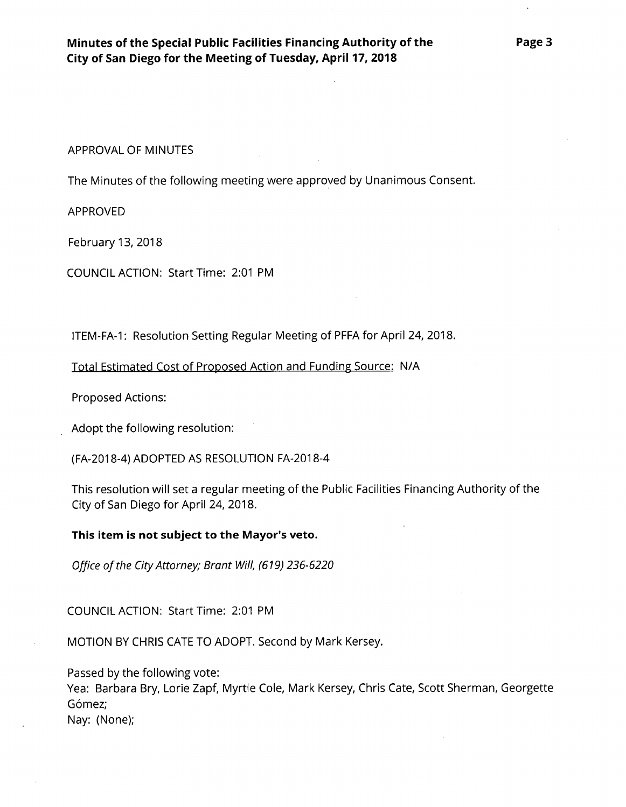APPROVAL OF MINUTES

The Minutes of the following meeting were approved by Unanimous Consent.

APPROVED

February 13, 2018

COUNCIL ACTION: Start Time: 2:01 PM

ITEM-FA-1: Resolution Setting Regular Meeting of PFFA for April 24, 2018.

Total Estimated Cost of Proposed Action and Funding Source: N/A

Proposed Actions:

Adopt the following resolution:

(FA-2018-4) ADOPTED AS RESOLUTION FA-2018-4

This resolution will set a regular meeting of the Public Facilities Financing Authority of the City of San Diego for April 24, 2018.

**This item is not subject to the Mayor's veto.**

*Office ofthe City Attorney; Brant Will, (619) 236-6220*

COUNCIL ACTION: Start Time: 2:01 PM

MOTION BY CHRIS CATE TO ADOPT. Second by Mark Kersey.

Passed by the following vote:

Yea: Barbara Bry, Lorie Zapf, Myrtle Cole, Mark Kersey, Chris Cate, Scott Sherman, Georgette Gómez;

Nay: (None);